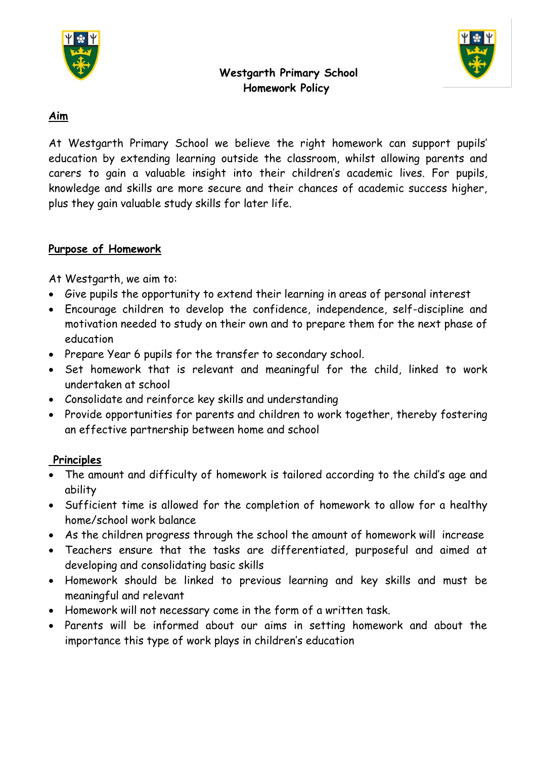



### **Westgarth Primary School Homework Policy**

### **Aim**

At Westgarth Primary School we believe the right homework can support pupils' education by extending learning outside the classroom, whilst allowing parents and carers to gain a valuable insight into their children's academic lives. For pupils, knowledge and skills are more secure and their chances of academic success higher, plus they gain valuable study skills for later life.

# **Purpose of Homework**

At Westgarth, we aim to:

- Give pupils the opportunity to extend their learning in areas of personal interest
- Encourage children to develop the confidence, independence, self-discipline and motivation needed to study on their own and to prepare them for the next phase of education
- Prepare Year 6 pupils for the transfer to secondary school.
- Set homework that is relevant and meaningful for the child, linked to work undertaken at school
- Consolidate and reinforce key skills and understanding
- Provide opportunities for parents and children to work together, thereby fostering an effective partnership between home and school

#### **Principles**

- The amount and difficulty of homework is tailored according to the child's age and ability
- Sufficient time is allowed for the completion of homework to allow for a healthy home/school work balance
- As the children progress through the school the amount of homework will increase
- Teachers ensure that the tasks are differentiated, purposeful and aimed at developing and consolidating basic skills
- Homework should be linked to previous learning and key skills and must be meaningful and relevant
- Homework will not necessary come in the form of a written task.
- Parents will be informed about our aims in setting homework and about the importance this type of work plays in children's education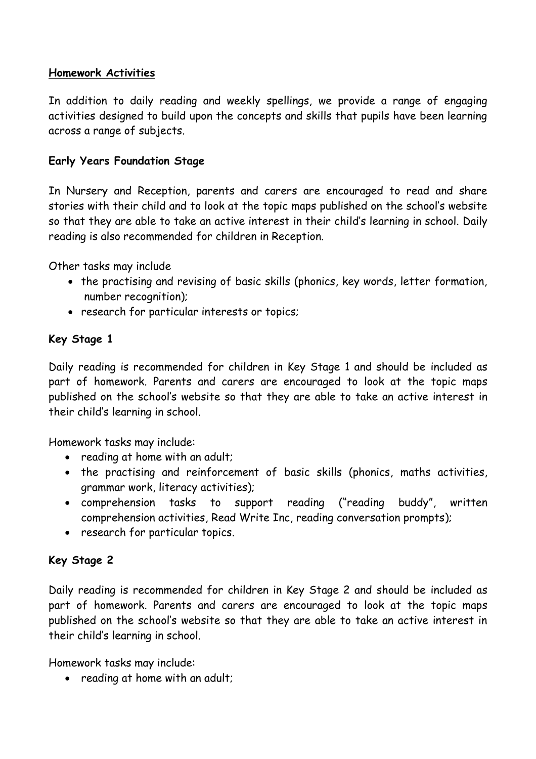### **Homework Activities**

In addition to daily reading and weekly spellings, we provide a range of engaging activities designed to build upon the concepts and skills that pupils have been learning across a range of subjects.

### **Early Years Foundation Stage**

In Nursery and Reception, parents and carers are encouraged to read and share stories with their child and to look at the topic maps published on the school's website so that they are able to take an active interest in their child's learning in school. Daily reading is also recommended for children in Reception.

Other tasks may include

- the practising and revising of basic skills (phonics, key words, letter formation, number recognition);
- research for particular interests or topics;

### **Key Stage 1**

Daily reading is recommended for children in Key Stage 1 and should be included as part of homework. Parents and carers are encouraged to look at the topic maps published on the school's website so that they are able to take an active interest in their child's learning in school.

Homework tasks may include:

- reading at home with an adult;
- the practising and reinforcement of basic skills (phonics, maths activities, grammar work, literacy activities);
- comprehension tasks to support reading ("reading buddy", written comprehension activities, Read Write Inc, reading conversation prompts);
- research for particular topics.

# **Key Stage 2**

Daily reading is recommended for children in Key Stage 2 and should be included as part of homework. Parents and carers are encouraged to look at the topic maps published on the school's website so that they are able to take an active interest in their child's learning in school.

Homework tasks may include:

• reading at home with an adult;